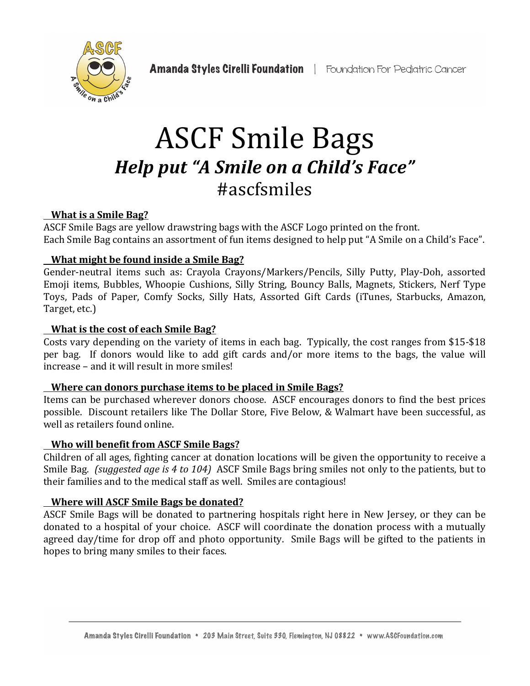on a Child

# **ASCF Smile Bags Help put "A Smile on a Child's Face"** #ascfsmiles

# **What is a Smile Bag?**

ASCF Smile Bags are yellow drawstring bags with the ASCF Logo printed on the front. Each Smile Bag contains an assortment of fun items designed to help put "A Smile on a Child's Face".

# **What might be found inside a Smile Bag?**

Gender-neutral items such as: Crayola Crayons/Markers/Pencils, Silly Putty, Play-Doh, assorted Emoji items, Bubbles, Whoopie Cushions, Silly String, Bouncy Balls, Magnets, Stickers, Nerf Type Toys, Pads of Paper, Comfy Socks, Silly Hats, Assorted Gift Cards (iTunes, Starbucks, Amazon, Target, etc.)

#### **What is the cost of each Smile Bag?**

Costs vary depending on the variety of items in each bag. Typically, the cost ranges from  $$15-$18$ per bag. If donors would like to add gift cards and/or more items to the bags, the value will increase – and it will result in more smiles!

#### **Where can donors purchase items to be placed in Smile Bags?**

Items can be purchased wherever donors choose. ASCF encourages donors to find the best prices possible. Discount retailers like The Dollar Store, Five Below, & Walmart have been successful, as well as retailers found online.

#### **Who will benefit from ASCF Smile Bags?**

Children of all ages, fighting cancer at donation locations will be given the opportunity to receive a Smile Bag. *(suggested age is 4 to 104)* ASCF Smile Bags bring smiles not only to the patients, but to their families and to the medical staff as well. Smiles are contagious!

# **Where will ASCF Smile Bags be donated?**

ASCF Smile Bags will be donated to partnering hospitals right here in New Jersey, or they can be donated to a hospital of your choice. ASCF will coordinate the donation process with a mutually agreed day/time for drop off and photo opportunity. Smile Bags will be gifted to the patients in hopes to bring many smiles to their faces.